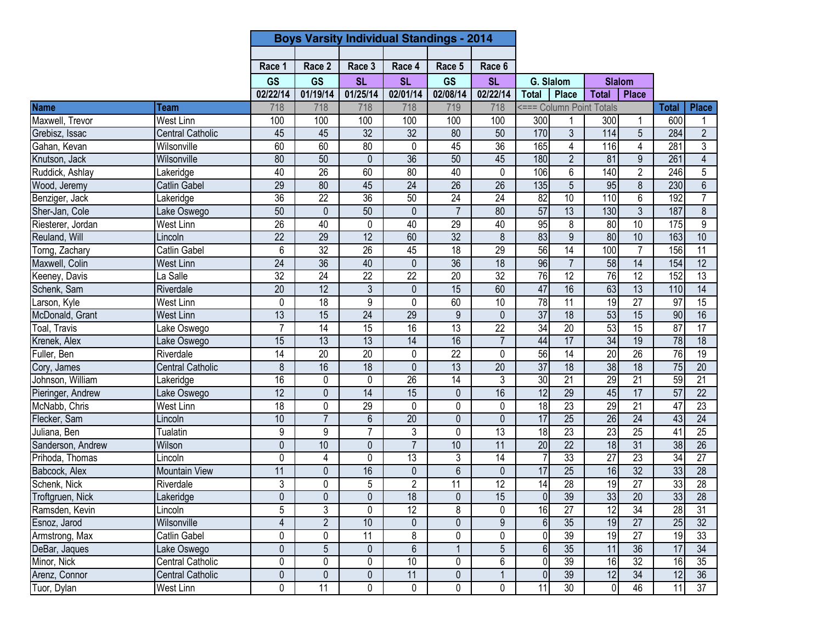|                   |                         |                 | <b>Boys Varsity Individual Standings - 2014</b> |                 |                 |                 |                 |                 |                 |                          |                 |                 |                 |
|-------------------|-------------------------|-----------------|-------------------------------------------------|-----------------|-----------------|-----------------|-----------------|-----------------|-----------------|--------------------------|-----------------|-----------------|-----------------|
|                   |                         |                 |                                                 |                 |                 |                 |                 |                 |                 |                          |                 |                 |                 |
|                   |                         | Race 1          | Race 2                                          | Race 3          | Race 4          | Race 5          | Race 6          |                 |                 |                          |                 |                 |                 |
|                   |                         | <b>GS</b>       | <b>GS</b>                                       | <b>SL</b>       | <b>SL</b>       | <b>GS</b>       | <b>SL</b>       |                 | G. Slalom       |                          | <b>Slalom</b>   |                 |                 |
|                   |                         | 02/22/14        | 01/19/14                                        | 01/25/14        | 02/01/14        | 02/08/14        | 02/22/14        | <b>Total</b>    | <b>Place</b>    | <b>Total</b>             | <b>Place</b>    |                 |                 |
| <b>Name</b>       | Team                    | 718             | 718                                             | 718             | 718             | 719             | 718             |                 |                 | <=== Column Point Totals |                 | <b>Total</b>    | <b>Place</b>    |
| Maxwell, Trevor   | <b>West Linn</b>        | 100             | 100                                             | 100             | 100             | 100             | 100             | 300             |                 | 300                      | 1               | 600             |                 |
| Grebisz, Issac    | <b>Central Catholic</b> | 45              | 45                                              | $\overline{32}$ | $\overline{32}$ | 80              | 50              | 170             | 3               | 114                      | 5               | 284             | $\overline{2}$  |
| Gahan, Kevan      | Wilsonville             | 60              | 60                                              | 80              | 0               | 45              | 36              | 165             | $\overline{4}$  | 116                      | $\overline{4}$  | 281             | 3               |
| Knutson, Jack     | Wilsonville             | $\overline{80}$ | 50                                              | $\mathbf{0}$    | $\overline{36}$ | 50              | 45              | 180             | $\overline{2}$  | 81                       | 9               | 261             | $\overline{4}$  |
| Ruddick, Ashlay   | Lakeridge               | 40              | 26                                              | 60              | 80              | 40              | 0               | 106             | 6               | 140                      | $\overline{2}$  | 246             | 5               |
| Wood, Jeremy      | <b>Catlin Gabel</b>     | 29              | 80                                              | 45              | 24              | $\overline{26}$ | $\overline{26}$ | 135             | $\overline{5}$  | 95                       | 8               | 230             | $\overline{6}$  |
| Benziger, Jack    | Lakeridge               | 36              | $\overline{22}$                                 | $\overline{36}$ | 50              | 24              | $\overline{24}$ | 82              | 10              | 110                      | 6               | 192             | $\overline{7}$  |
| Sher-Jan, Cole    | Lake Oswego             | 50              | $\mathbf{0}$                                    | 50              | $\mathbf 0$     | $\overline{7}$  | $\overline{80}$ | 57              | 13              | 130                      | $\overline{3}$  | 187             | 8               |
| Riesterer, Jordan | <b>West Linn</b>        | 26              | 40                                              | $\mathbf 0$     | 40              | 29              | 40              | 95              | 8               | 80                       | 10              | 175             | 9               |
| Reuland, Will     | Lincoln                 | $\overline{22}$ | 29                                              | 12              | 60              | 32              | 8               | 83              | $\overline{9}$  | 80                       | 10              | 163             | 10              |
| Torng, Zachary    | <b>Catlin Gabel</b>     | 6               | 32                                              | 26              | 45              | 18              | 29              | 56              | $\overline{14}$ | 100                      | $\overline{7}$  | 156             | $\overline{11}$ |
| Maxwell, Colin    | <b>West Linn</b>        | $\overline{24}$ | 36                                              | 40              | $\mathbf 0$     | 36              | 18              | 96              | $\overline{7}$  | 58                       | 14              | 154             | $\overline{12}$ |
| Keeney, Davis     | La Salle                | 32              | $\overline{24}$                                 | $\overline{22}$ | $\overline{22}$ | 20              | 32              | 76              | 12              | 76                       | 12              | 152             | $\overline{13}$ |
| Schenk, Sam       | Riverdale               | 20              | 12                                              | 3               | $\mathbf 0$     | 15              | 60              | 47              | 16              | 63                       | 13              | 110             | 14              |
| Larson, Kyle      | West Linn               | $\mathbf 0$     | $\overline{18}$                                 | 9               | 0               | 60              | 10              | 78              | $\overline{11}$ | 19                       | $\overline{27}$ | $\overline{97}$ | 15              |
| McDonald, Grant   | <b>West Linn</b>        | 13              | $\overline{15}$                                 | $\overline{24}$ | 29              | $\overline{9}$  | $\mathbf{0}$    | $\overline{37}$ | $\overline{18}$ | 53                       | $\overline{15}$ | 90              | 16              |
| Toal, Travis      | Lake Oswego             | $\overline{7}$  | $\overline{14}$                                 | 15              | 16              | $\overline{13}$ | $\overline{22}$ | 34              | $\overline{20}$ | 53                       | $\overline{15}$ | $\overline{87}$ | $\overline{17}$ |
| Krenek, Alex      | Lake Oswego             | $\overline{15}$ | $\overline{13}$                                 | 13              | 14              | 16              | $\overline{7}$  | 44              | $\overline{17}$ | 34                       | 19              | 78              | $\overline{18}$ |
| Fuller, Ben       | Riverdale               | 14              | 20                                              | 20              | 0               | $\overline{22}$ | 0               | 56              | 14              | 20                       | 26              | 76              | 19              |
| Cory, James       | <b>Central Catholic</b> | 8               | 16                                              | $\overline{18}$ | $\mathbf{0}$    | 13              | $\overline{20}$ | $\overline{37}$ | $\overline{18}$ | 38                       | 18              | 75              | $\overline{20}$ |
| Johnson, William  | Lakeridge               | 16              | 0                                               | 0               | 26              | 14              | 3               | 30              | $\overline{21}$ | 29                       | $\overline{21}$ | 59              | $\overline{21}$ |
| Pieringer, Andrew | Lake Oswego             | 12              | $\overline{0}$                                  | 14              | 15              | $\overline{0}$  | 16              | 12              | 29              | 45                       | 17              | 57              | $\overline{22}$ |
| McNabb, Chris     | West Linn               | $\overline{18}$ | 0                                               | 29              | 0               | 0               | 0               | $\frac{1}{8}$   | $\overline{23}$ | 29                       | $\overline{21}$ | 47              | $\overline{23}$ |
| Flecker, Sam      | Lincoln                 | 10              | $\overline{7}$                                  | 6               | 20              | $\mathbf 0$     | $\mathbf{0}$    | 17              | $\overline{25}$ | 26                       | $\overline{24}$ | 43              | $\overline{24}$ |
| Juliana, Ben      | Tualatin                | $\overline{9}$  | $\overline{9}$                                  | $\overline{7}$  | 3               | $\overline{0}$  | 13              | 18              | 23              | 23                       | $\overline{25}$ | $\overline{41}$ | 25              |
| Sanderson, Andrew | Wilson                  | $\pmb{0}$       | 10                                              | $\mathbf 0$     | $\overline{7}$  | 10              | 11              | 20              | 22              | 18                       | 31              | 38              | 26              |
| Prihoda, Thomas   | Lincoln                 | 0               | 4                                               | 0               | 13              | 3               | 14              | $\overline{7}$  | 33              | $\overline{27}$          | 23              | $\overline{34}$ | 27              |
| Babcock, Alex     | <b>Mountain View</b>    | 11              | $\mathbf{0}$                                    | 16              | $\mathbf 0$     | $\overline{6}$  | $\mathbf{0}$    | 17              | 25              | 16                       | $\overline{32}$ | 33              | $\overline{28}$ |
| Schenk, Nick      | Riverdale               | 3               | 0                                               | 5               | $\overline{2}$  | $\overline{11}$ | $\overline{12}$ | 14              | 28              | 19                       | $\overline{27}$ | 33              | 28              |
| Troftgruen, Nick  | Lakeridge               | $\pmb{0}$       | $\mathbf 0$                                     | $\pmb{0}$       | 18              | $\pmb{0}$       | 15              | $\overline{0}$  | $\overline{39}$ | 33                       | 20              | 33              | 28              |
| Ramsden, Kevin    | Lincoln                 | $\overline{5}$  | $\overline{3}$                                  | 0               | $\overline{12}$ | 8               | $\mathbf 0$     | 16              | $\overline{27}$ | 12                       | $\overline{34}$ | $\overline{28}$ | 31              |
| Esnoz, Jarod      | Wilsonville             | $\overline{4}$  | $\overline{2}$                                  | 10              | $\mathbf{0}$    | 0               | 9               | $6 \,$          | 35              | 19                       | $\overline{27}$ | 25              | 32              |
| Armstrong, Max    | Catlin Gabel            | 0               | 0                                               | 11              | 8               | 0               | $\mathbf 0$     | $\overline{0}$  | 39              | 19                       | 27              | 19              | 33              |
| DeBar, Jaques     | Lake Oswego             | $\overline{0}$  | $\overline{5}$                                  | $\mathbf 0$     | 6               | $\overline{1}$  | $\overline{5}$  | $\overline{6}$  | $\overline{35}$ | 11                       | $\overline{36}$ | 17              | 34              |
| Minor, Nick       | <b>Central Catholic</b> | 0               | 0                                               | 0               | 10              | 0               | 6               | $\overline{0}$  | $\overline{39}$ | 16                       | $\overline{32}$ | 16              | 35              |
| Arenz, Connor     | <b>Central Catholic</b> | $\pmb{0}$       | $\mathbf 0$                                     | $\mathbf 0$     | 11              | 0               | $\mathbf{1}$    | $\overline{0}$  | 39              | 12                       | 34              | 12              | $\overline{36}$ |
| Tuor, Dylan       | West Linn               | 0               | 11                                              | 0               | 0               | 0               | 0               | 11              | 30              | $\overline{0}$           | 46              | 11              | $\overline{37}$ |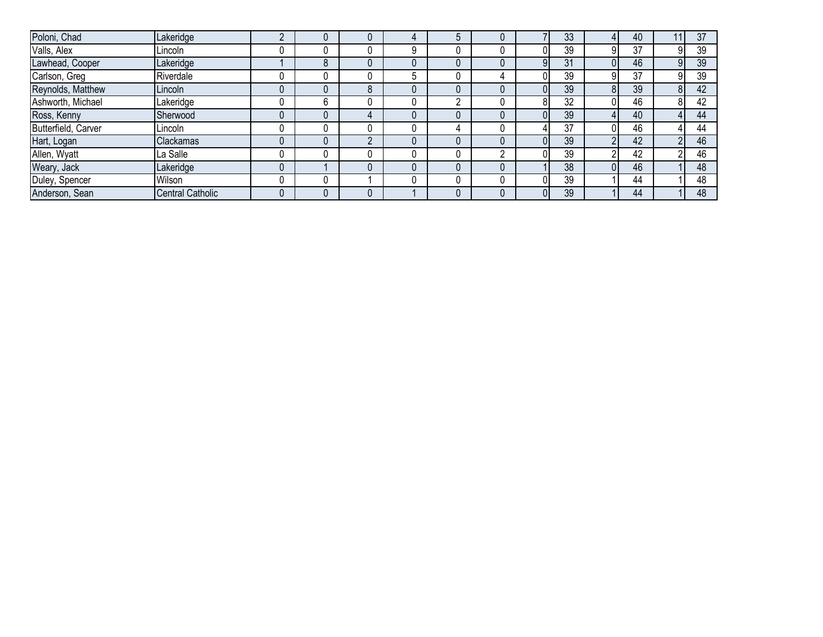| Poloni, Chad        | Lakeridge               |              |   |  |   |    | 33 |    | 40 | 37 |
|---------------------|-------------------------|--------------|---|--|---|----|----|----|----|----|
| Valls, Alex         | Lincoln                 | U            |   |  |   |    | 39 | 9  | 37 | 39 |
| Lawhead, Cooper     | Lakeridge               | $\circ$<br>Ō |   |  |   | 91 | 31 |    | 46 | 39 |
| Carlson, Greg       | Riverdale               | 0            |   |  |   |    | 39 | 9  | 37 | 39 |
| Reynolds, Matthew   | Lincoln                 | O            | 8 |  |   |    | 39 |    | 39 | 42 |
| Ashworth, Michael   | Lakeridge               | 6            |   |  |   | 8l | 32 |    | 46 | 42 |
| Ross, Kenny         | Sherwood                | 0            |   |  |   |    | 39 |    | 40 | 44 |
| Butterfield, Carver | Lincoln                 | U            |   |  |   |    | 37 |    | 46 | 44 |
| Hart, Logan         | Clackamas               | 0            | C |  |   |    | 39 | n. | 42 | 46 |
| Allen, Wyatt        | La Salle                | U            |   |  | n |    | 39 |    | 42 | 46 |
| Weary, Jack         | Lakeridge               |              |   |  |   |    | 38 |    | 46 | 48 |
| Duley, Spencer      | Wilson                  |              |   |  |   |    | 39 |    | 44 | 48 |
| Anderson, Sean      | <b>Central Catholic</b> |              |   |  |   | 01 | 39 |    | 44 | 48 |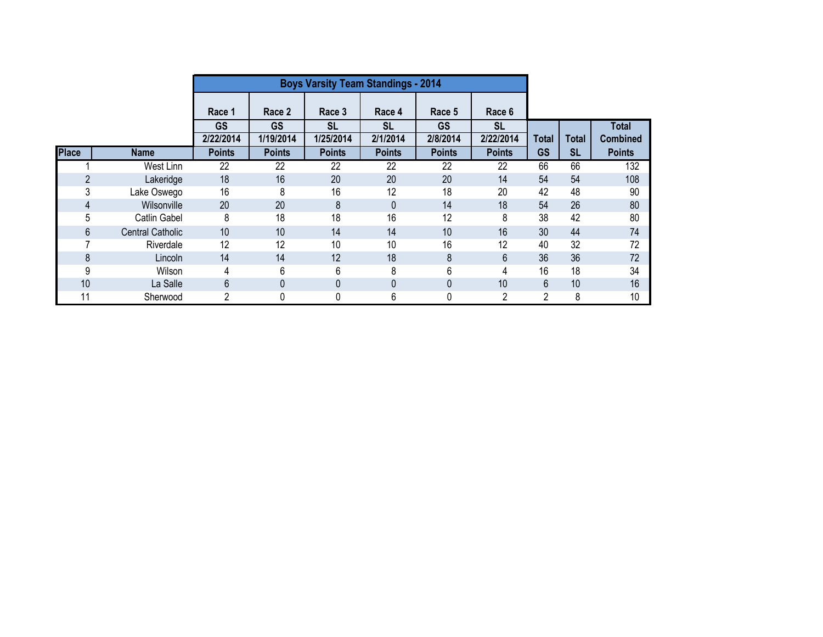|                |                         |                            | <b>Boys Varsity Team Standings - 2014</b> |                            |                           |                           |                            |                           |                           |                                  |
|----------------|-------------------------|----------------------------|-------------------------------------------|----------------------------|---------------------------|---------------------------|----------------------------|---------------------------|---------------------------|----------------------------------|
|                |                         | Race 1                     | Race 2                                    | Race 3                     | Race 4                    | Race 5                    | Race 6                     |                           |                           |                                  |
|                |                         | <b>GS</b>                  | <b>GS</b>                                 | <b>SL</b>                  | SL                        | <b>GS</b>                 | <b>SL</b>                  |                           |                           | <b>Total</b>                     |
| <b>Place</b>   | <b>Name</b>             | 2/22/2014<br><b>Points</b> | 1/19/2014<br><b>Points</b>                | 1/25/2014<br><b>Points</b> | 2/1/2014<br><b>Points</b> | 2/8/2014<br><b>Points</b> | 2/22/2014<br><b>Points</b> | <b>Total</b><br><b>GS</b> | <b>Total</b><br><b>SL</b> | <b>Combined</b><br><b>Points</b> |
|                | West Linn               | 22                         | 22                                        | 22                         | 22                        | 22                        | 22                         | 66                        | 66                        | 132                              |
| $\overline{2}$ | Lakeridge               | 18                         | 16                                        | 20                         | 20                        | 20                        | 14                         | 54                        | 54                        | 108                              |
| 3              | Lake Oswego             | 16                         | 8                                         | 16                         | 12                        | 18                        | 20                         | 42                        | 48                        | 90                               |
| 4              | Wilsonville             | 20                         | 20                                        | 8                          | 0                         | 14                        | 18                         | 54                        | 26                        | 80                               |
| 5              | <b>Catlin Gabel</b>     | 8                          | 18                                        | 18                         | 16                        | 12                        | 8                          | 38                        | 42                        | 80                               |
| 6              | <b>Central Catholic</b> | 10                         | 10                                        | 14                         | 14                        | 10                        | 16                         | 30                        | 44                        | 74                               |
|                | Riverdale               | 12                         | 12                                        | 10                         | 10                        | 16                        | 12                         | 40                        | 32                        | 72                               |
| 8              | Lincoln                 | 14                         | 14                                        | 12                         | 18                        | 8                         | 6                          | 36                        | 36                        | 72                               |
| 9              | Wilson                  | 4                          | 6                                         | 6                          | 8                         | 6                         | 4                          | 16                        | 18                        | 34                               |
| 10             | La Salle                | 6                          | 0                                         | 0                          | 0                         | $\mathbf{0}$              | 10                         | 6                         | 10                        | 16                               |
|                | Sherwood                | 2                          | 0                                         | 0                          | 6                         | 0                         | 2                          | 2                         | 8                         | 10                               |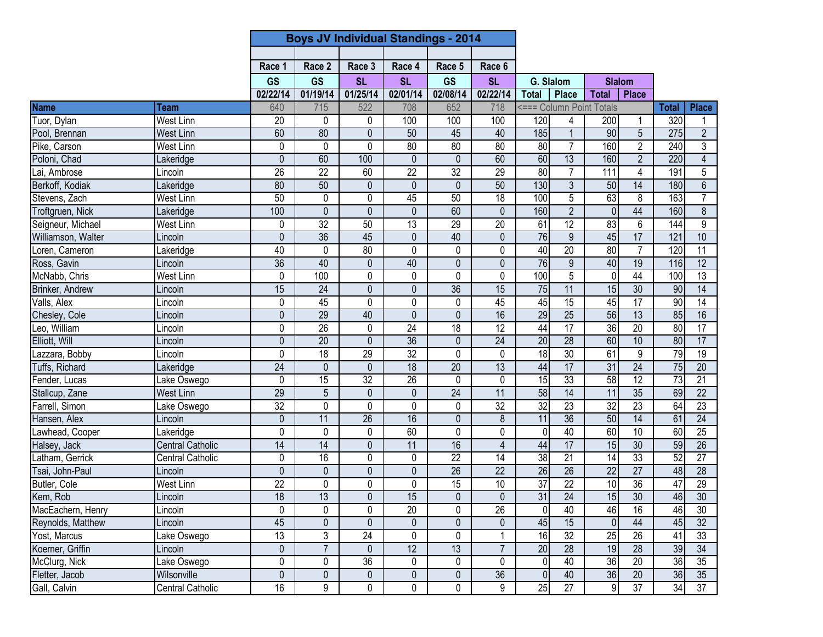|                                  |                         |                 | <b>Boys JV Individual Standings - 2014</b> |                 |                 |                 |                 |                  |                          |                 |                 |                 |                         |
|----------------------------------|-------------------------|-----------------|--------------------------------------------|-----------------|-----------------|-----------------|-----------------|------------------|--------------------------|-----------------|-----------------|-----------------|-------------------------|
|                                  |                         |                 |                                            |                 |                 |                 |                 |                  |                          |                 |                 |                 |                         |
|                                  |                         | Race 1          | Race 2                                     | Race 3          | Race 4          | Race 5          | Race 6          |                  |                          |                 |                 |                 |                         |
|                                  |                         | <b>GS</b>       | <b>GS</b>                                  | <b>SL</b>       | <b>SL</b>       | <b>GS</b>       | <b>SL</b>       |                  | G. Slalom                |                 | <b>Slalom</b>   |                 |                         |
|                                  |                         | 02/22/14        | 01/19/14                                   | 01/25/14        | 02/01/14        | 02/08/14        | 02/22/14        | <b>Total</b>     | <b>Place</b>             | <b>Total</b>    | <b>Place</b>    |                 |                         |
| <b>Name</b>                      | Team                    | 640             | 715                                        | 522             | 708             | 652             | 718             |                  | <=== Column Point Totals |                 |                 | <b>Total</b>    | <b>Place</b>            |
| Tuor, Dylan                      | West Linn               | 20              | 0                                          | 0               | 100             | 100             | 100             | 120              | 4                        | 200             |                 | 320             | 1                       |
| Pool, Brennan                    | <b>West Linn</b>        | 60              | 80                                         | 0               | 50              | 45              | 40              | 185              |                          | 90              | 5               | 275             | $\overline{2}$          |
| Pike, Carson                     | <b>West Linn</b>        | 0               | $\mathbf 0$                                | 0               | 80              | 80              | 80              | $\overline{80}$  | $\overline{7}$           | 160             | $\overline{2}$  | 240             | $\overline{3}$          |
| Poloni, Chad                     | Lakeridge               | 0               | 60                                         | 100             | $\mathbf{0}$    | $\mathbf 0$     | 60              | 60               | 13                       | 160             | $\overline{2}$  | 220             | $\overline{\mathbf{4}}$ |
| Lai, Ambrose                     | Lincoln                 | 26              | $\overline{22}$                            | 60              | $\overline{22}$ | $\overline{32}$ | $\overline{29}$ | 80               | $\overline{7}$           | 111             | $\overline{4}$  | 191             | 5                       |
| Berkoff, Kodiak                  | Lakeridge               | $\overline{80}$ | 50                                         | 0               | 0               | $\mathbf{0}$    | 50              | 130              | $\mathfrak{Z}$           | 50              | $\overline{14}$ | 180             | $\overline{6}$          |
| Stevens, Zach                    | West Linn               | 50              | 0                                          | 0               | 45              | 50              | $\overline{18}$ | 100              | 5                        | 63              | 8               | 163             | $\overline{7}$          |
| Troftgruen, Nick                 | Lakeridge               | 100             | $\mathbf{0}$                               | 0               | 0               | 60              | $\mathbf{0}$    | 160              | $\overline{2}$           | $\overline{0}$  | 44              | 160             | 8                       |
| Seigneur, Michael                | West Linn               | 0               | 32                                         | 50              | 13              | 29              | 20              | 61               | $\overline{12}$          | 83              | 6               | 144             | 9                       |
| Williamson, Walter               | Lincoln                 | 0               | $\overline{36}$                            | 45              | $\mathbf 0$     | 40              | $\mathbf 0$     | 76               | 9                        | 45              | 17              | 121             | 10                      |
| Loren, Cameron                   | Lakeridge               | 40              | 0                                          | 80              | 0               | 0               | 0               | 40               | 20                       | 80              | $\overline{7}$  | 120             | $\overline{11}$         |
| Ross, Gavin                      | Lincoln                 | $\overline{36}$ | 40                                         | 0               | 40              | $\mathbf 0$     | $\mathbf{0}$    | 76               | 9                        | 40              | 19              | 116             | 12                      |
| McNabb, Chris                    | West Linn               | 0               | 100                                        | 0               | 0               | $\pmb{0}$       | 0               | 100              | $\overline{5}$           | $\mathbf 0$     | 44              | 100             | $\overline{13}$         |
| Brinker, Andrew                  | Lincoln                 | 15              | $\overline{24}$                            | 0               | 0               | 36              | 15              | $\overline{75}$  | 11                       | 15              | 30              | 90              | 14                      |
| Valls, Alex                      | Lincoln                 | $\mathbf{0}$    | 45                                         | 0               | 0               | 0               | 45              | 45               | $\overline{15}$          | 45              | $\overline{17}$ | 90              | 14                      |
| Chesley, Cole                    | Lincoln                 | $\mathbf 0$     | $\overline{29}$                            | 40              | $\overline{0}$  | $\overline{0}$  | 16              | 29               | $\overline{25}$          | 56              | $\overline{13}$ | 85              | 16                      |
| Leo, William                     | Lincoln                 | 0               | $\overline{26}$                            | 0               | $\overline{24}$ | 18              | $\overline{12}$ | 44               | $\overline{17}$          | 36              | $\overline{20}$ | $\overline{80}$ | $\overline{17}$         |
| Elliott, Will                    | Lincoln                 | 0               | 20                                         | 0               | $\overline{36}$ | 0               | $\overline{24}$ | $\overline{20}$  | $\overline{28}$          | 60              | 10              | 80              | $\overline{17}$         |
| Lazzara, Bobby                   | Lincoln                 | 0               | 18                                         | 29              | $\overline{32}$ | $\mathbf 0$     | 0               | 18               | 30                       | 61              | $\overline{9}$  | 79              | 19                      |
| Tuffs, Richard                   | Lakeridge               | $\overline{24}$ | $\mathbf 0$                                | 0               | $\overline{18}$ | $\overline{20}$ | $\overline{13}$ | 44               | $\overline{17}$          | 31              | $\overline{24}$ | $\overline{75}$ | $\overline{20}$         |
| Fender, Lucas                    | Lake Oswego             | $\mathbf{0}$    | $\overline{15}$                            | $\overline{32}$ | 26              | 0               | 0               | 15               | 33                       | 58              | 12              | $\overline{73}$ | 21                      |
| Stallcup, Zane                   | West Linn               | 29              | $\overline{5}$                             | $\overline{0}$  | $\pmb{0}$       | 24              | 11              | 58               | 14                       | 11              | 35              | 69              | $\overline{22}$         |
| Farrell, Simon                   | Lake Oswego             | $\overline{32}$ | 0                                          | 0               | $\mathbf{0}$    | 0               | $\overline{32}$ | 32               | $\overline{23}$          | 32              | 23              | 64              | 23                      |
| Hansen, Alex                     | Lincoln                 | $\mathbf 0$     | 11                                         | $\overline{26}$ | 16              | $\mathbf 0$     | 8               | 11               | 36                       | 50              | $\overline{14}$ | 61              | $\overline{24}$         |
| Lawhead, Cooper                  | Lakeridge               | 0               | $\pmb{0}$                                  | 0               | 60              | $\mathbf 0$     | $\pmb{0}$       | $\mathbf 0$      | 40                       | 60              | 10              | 60              | 25                      |
| Halsey, Jack                     | <b>Central Catholic</b> | 14              | 14                                         | 0               | 11              | 16              | $\overline{4}$  | 44               | 17                       | 15              | $\overline{30}$ | 59              | 26                      |
| Latham, Gerrick                  | <b>Central Catholic</b> | $\mathbf{0}$    | 16                                         | 0               | 0               | 22              | 14              | 38               | $\overline{21}$          | $\overline{14}$ | 33              | 52              | 27                      |
| Tsai, John-Paul                  | Lincoln                 | $\mathbf 0$     | $\mathbf 0$                                | $\overline{0}$  | 0               | 26              | $\overline{22}$ | 26               | $\overline{26}$          | $\overline{22}$ | $\overline{27}$ | 48              | $\overline{28}$         |
| Butler, Cole                     | West Linn               | $\overline{22}$ | 0                                          | 0               | 0               | 15              | 10              | $\overline{37}$  | $\overline{22}$          | $\overline{6}$  | $\overline{36}$ | 47              | 29                      |
| Kem, Rob                         | Lincoln                 | 18              | 13                                         | 0               | 15              | $\pmb{0}$       | $\pmb{0}$       | 31               | 24                       | 15              | 30              | 46              | 30                      |
| MacEachern, Henry                | Lincoln                 | 0               | 0                                          | 0               | $\overline{20}$ | 0               | 26              | $\overline{0}$   | 40                       | 46              | 16              | 46              | 30                      |
| Reynolds, Matthew                | Lincoln                 | 45              | $\pmb{0}$                                  | 0               | 0               | $\pmb{0}$       | 0               | 45               | 15                       | $\pmb{0}$       | 44              | 45              | 32                      |
|                                  | Lake Oswego             | 13              | 3                                          | 24              | 0               | 0               |                 | 16               | 32                       | 25              | 26              | 41              | 33                      |
| Yost, Marcus<br>Koerner, Griffin | Lincoln                 | $\pmb{0}$       | $\overline{7}$                             | 0               | 12              | 13              | $\overline{7}$  | 20               | 28                       | 19              | $\overline{28}$ | 39              | 34                      |
| McClurg, Nick                    | Lake Oswego             | 0               | 0                                          | 36              | 0               | 0               | 0               | $\overline{0}$   | 40                       | 36              | $\overline{20}$ | 36              | 35                      |
| Fletter, Jacob                   | Wilsonville             | 0               | $\pmb{0}$                                  | 0               | 0               | $\pmb{0}$       | 36              | $\boldsymbol{0}$ | 40                       | 36              | 20              | 36              | 35                      |
| Gall, Calvin                     | Central Catholic        | 16              | 9                                          | 0               | 0               | 0               | 9               | 25               | $\overline{27}$          | $9\,$           | 37              | 34              | 37                      |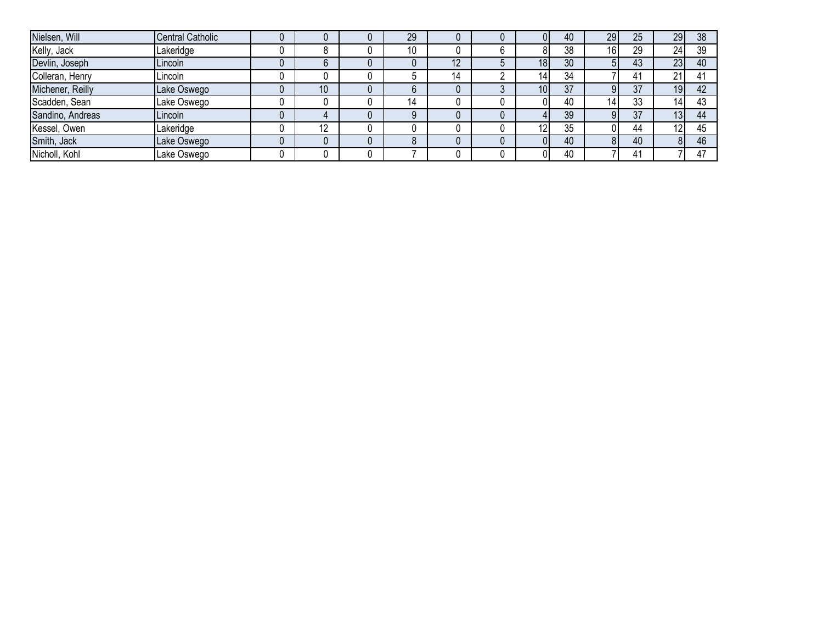| Nielsen, Will    | <b>Central Catholic</b> |    | 29 |    |                 | 40 | 29 | 25 | 29         | 38 |
|------------------|-------------------------|----|----|----|-----------------|----|----|----|------------|----|
| Kelly, Jack      | Lakeridge               | Ω  | 10 |    |                 | 38 | 16 | 29 | 24         | 39 |
| Devlin, Joseph   | Lincoln                 |    |    | 12 | 18 <sup>l</sup> | 30 |    | 43 | 23         | 40 |
| Colleran, Henry  | Lincoln                 |    |    | 14 | 141             | 34 |    | 41 | 21         |    |
| Michener, Reilly | Lake Oswego             | 10 |    |    | 10 <sub>l</sub> | 37 |    | 37 | 19         | 42 |
| Scadden, Sean    | Lake Oswego             |    | 14 |    |                 | 40 | 14 | 33 | 14         | 43 |
| Sandino, Andreas | Lincoln                 |    |    |    |                 | 39 |    | 37 | 13         | 44 |
| Kessel, Owen     | Lakeridge               | 12 |    |    | $\overline{2}$  | 35 |    | 44 | $\sqrt{2}$ |    |
| Smith, Jack      | Lake Oswego             |    |    |    |                 | 40 |    | 40 |            | 46 |
| Nicholl, Kohl    | Lake Oswego             |    |    |    |                 | 40 |    | 41 |            |    |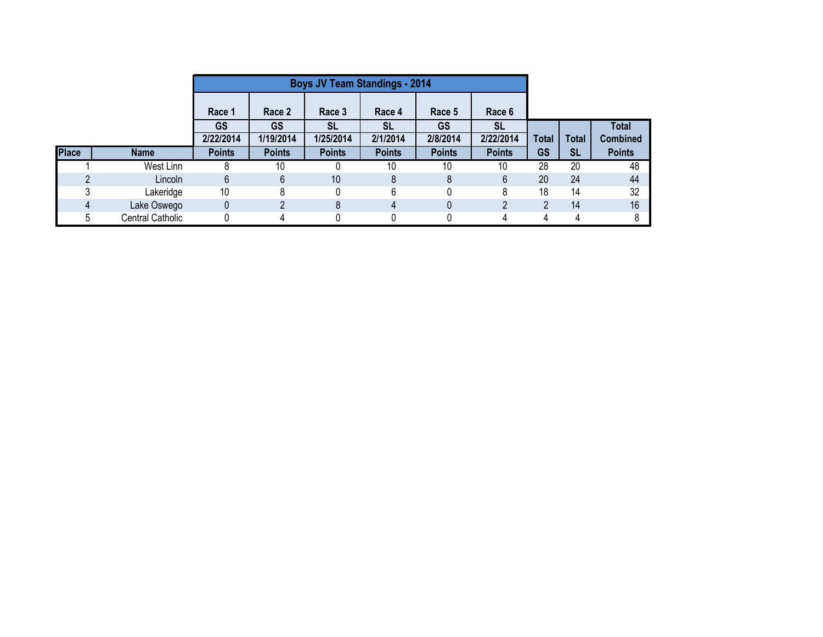|              |                  |               | <b>Boys JV Team Standings - 2014</b> |               |               |               |                |       |              |                 |
|--------------|------------------|---------------|--------------------------------------|---------------|---------------|---------------|----------------|-------|--------------|-----------------|
|              |                  | Race 1        | Race 2                               | Race 3        | Race 4        | Race 5        | Race 6         |       |              |                 |
|              |                  | <b>GS</b>     | <b>GS</b>                            | SL            | <b>SL</b>     | <b>GS</b>     | <b>SL</b>      |       |              | <b>Total</b>    |
|              |                  | 2/22/2014     | 1/19/2014                            | 1/25/2014     | 2/1/2014      | 2/8/2014      | 2/22/2014      | Total | <b>Total</b> | <b>Combined</b> |
| <b>Place</b> | <b>Name</b>      | <b>Points</b> | <b>Points</b>                        | <b>Points</b> | <b>Points</b> | <b>Points</b> | <b>Points</b>  | GS    | <b>SL</b>    | <b>Points</b>   |
|              | West Linn        |               | 10                                   |               | 10            | 10            | 10             | 28    | 20           | 48              |
|              | Lincoln          | 6             | 6                                    | 10            | 8             | 8             | 6              | 20    | 24           | 44              |
|              | Lakeridge        | 10            | 8                                    | n             | 6             |               | 8              | 18    | 14           | 32              |
| Δ            | Lake Oswego      | 0             |                                      | 8             | 4             | 0             | $\overline{2}$ | C     | 14           | 16              |
|              | Central Catholic |               | 4                                    |               |               |               | 4              |       | 4            |                 |